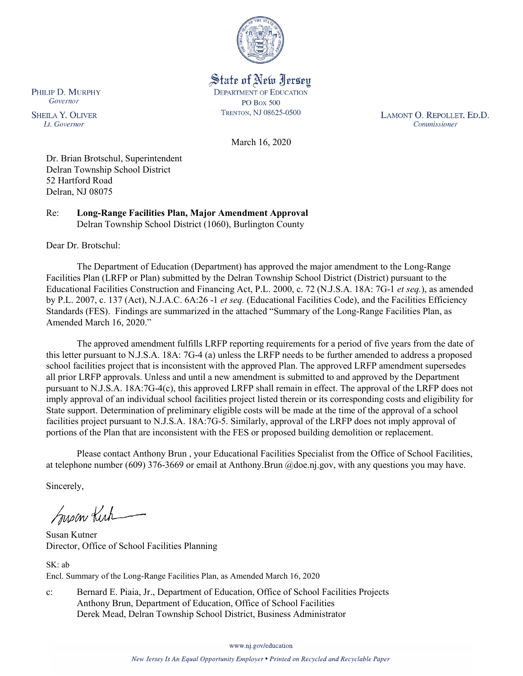

State of New Jersey **DEPARTMENT OF EDUCATION PO Box 500** TRENTON, NJ 08625-0500

LAMONT O. REPOLLET, ED.D. Commissioner

March 16, 2020

Dr. Brian Brotschul, Superintendent Delran Township School District 52 Hartford Road Delran, NJ 08075

Re: **Long-Range Facilities Plan, Major Amendment Approval** Delran Township School District (1060), Burlington County

Dear Dr. Brotschul:

PHILIP D. MURPHY Governor

**SHEILA Y. OLIVER** 

Lt. Governor

The Department of Education (Department) has approved the major amendment to the Long-Range Facilities Plan (LRFP or Plan) submitted by the Delran Township School District (District) pursuant to the Educational Facilities Construction and Financing Act, P.L. 2000, c. 72 (N.J.S.A. 18A: 7G-1 *et seq.*), as amended by P.L. 2007, c. 137 (Act), N.J.A.C. 6A:26 -1 *et seq.* (Educational Facilities Code), and the Facilities Efficiency Standards (FES). Findings are summarized in the attached "Summary of the Long-Range Facilities Plan, as Amended March 16, 2020."

The approved amendment fulfills LRFP reporting requirements for a period of five years from the date of this letter pursuant to N.J.S.A. 18A: 7G-4 (a) unless the LRFP needs to be further amended to address a proposed school facilities project that is inconsistent with the approved Plan. The approved LRFP amendment supersedes all prior LRFP approvals. Unless and until a new amendment is submitted to and approved by the Department pursuant to N.J.S.A. 18A:7G-4(c), this approved LRFP shall remain in effect. The approval of the LRFP does not imply approval of an individual school facilities project listed therein or its corresponding costs and eligibility for State support. Determination of preliminary eligible costs will be made at the time of the approval of a school facilities project pursuant to N.J.S.A. 18A:7G-5. Similarly, approval of the LRFP does not imply approval of portions of the Plan that are inconsistent with the FES or proposed building demolition or replacement.

Please contact Anthony Brun , your Educational Facilities Specialist from the Office of School Facilities, at telephone number (609) 376-3669 or email at Anthony.Brun @doe.nj.gov, with any questions you may have.

Sincerely,

Susan Kich

Susan Kutner Director, Office of School Facilities Planning

SK: ab Encl. Summary of the Long-Range Facilities Plan, as Amended March 16, 2020

c: Bernard E. Piaia, Jr., Department of Education, Office of School Facilities Projects Anthony Brun, Department of Education, Office of School Facilities Derek Mead, Delran Township School District, Business Administrator

www.nj.gov/education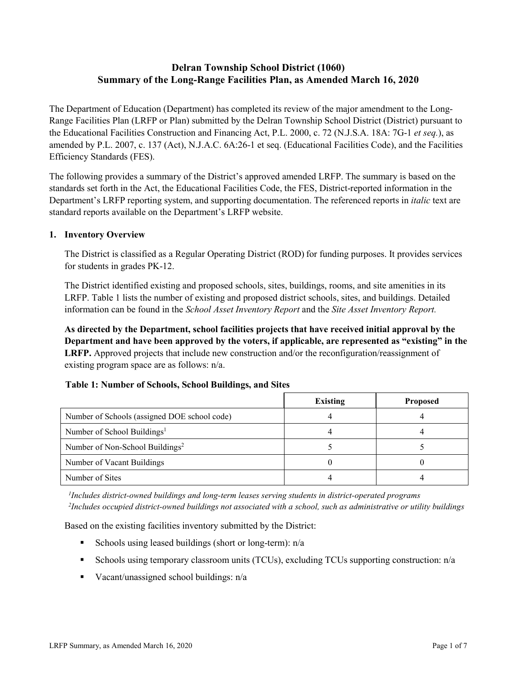# **Delran Township School District (1060) Summary of the Long-Range Facilities Plan, as Amended March 16, 2020**

The Department of Education (Department) has completed its review of the major amendment to the Long-Range Facilities Plan (LRFP or Plan) submitted by the Delran Township School District (District) pursuant to the Educational Facilities Construction and Financing Act, P.L. 2000, c. 72 (N.J.S.A. 18A: 7G-1 *et seq.*), as amended by P.L. 2007, c. 137 (Act), N.J.A.C. 6A:26-1 et seq. (Educational Facilities Code), and the Facilities Efficiency Standards (FES).

The following provides a summary of the District's approved amended LRFP. The summary is based on the standards set forth in the Act, the Educational Facilities Code, the FES, District-reported information in the Department's LRFP reporting system, and supporting documentation. The referenced reports in *italic* text are standard reports available on the Department's LRFP website.

### **1. Inventory Overview**

The District is classified as a Regular Operating District (ROD) for funding purposes. It provides services for students in grades PK-12.

The District identified existing and proposed schools, sites, buildings, rooms, and site amenities in its LRFP. Table 1 lists the number of existing and proposed district schools, sites, and buildings. Detailed information can be found in the *School Asset Inventory Report* and the *Site Asset Inventory Report.*

**As directed by the Department, school facilities projects that have received initial approval by the Department and have been approved by the voters, if applicable, are represented as "existing" in the LRFP.** Approved projects that include new construction and/or the reconfiguration/reassignment of existing program space are as follows: n/a.

#### **Table 1: Number of Schools, School Buildings, and Sites**

|                                              | Existing | <b>Proposed</b> |
|----------------------------------------------|----------|-----------------|
| Number of Schools (assigned DOE school code) |          |                 |
| Number of School Buildings <sup>1</sup>      |          |                 |
| Number of Non-School Buildings <sup>2</sup>  |          |                 |
| Number of Vacant Buildings                   |          |                 |
| Number of Sites                              |          |                 |

*1 Includes district-owned buildings and long-term leases serving students in district-operated programs 2 Includes occupied district-owned buildings not associated with a school, such as administrative or utility buildings*

Based on the existing facilities inventory submitted by the District:

- Schools using leased buildings (short or long-term):  $n/a$
- Schools using temporary classroom units (TCUs), excluding TCUs supporting construction: n/a
- Vacant/unassigned school buildings:  $n/a$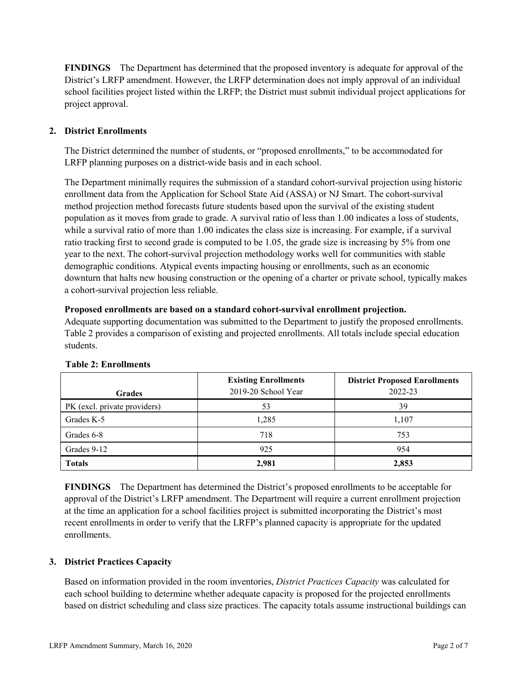**FINDINGS** The Department has determined that the proposed inventory is adequate for approval of the District's LRFP amendment. However, the LRFP determination does not imply approval of an individual school facilities project listed within the LRFP; the District must submit individual project applications for project approval.

# **2. District Enrollments**

The District determined the number of students, or "proposed enrollments," to be accommodated for LRFP planning purposes on a district-wide basis and in each school.

The Department minimally requires the submission of a standard cohort-survival projection using historic enrollment data from the Application for School State Aid (ASSA) or NJ Smart. The cohort-survival method projection method forecasts future students based upon the survival of the existing student population as it moves from grade to grade. A survival ratio of less than 1.00 indicates a loss of students, while a survival ratio of more than 1.00 indicates the class size is increasing. For example, if a survival ratio tracking first to second grade is computed to be 1.05, the grade size is increasing by 5% from one year to the next. The cohort-survival projection methodology works well for communities with stable demographic conditions. Atypical events impacting housing or enrollments, such as an economic downturn that halts new housing construction or the opening of a charter or private school, typically makes a cohort-survival projection less reliable.

#### **Proposed enrollments are based on a standard cohort-survival enrollment projection.**

Adequate supporting documentation was submitted to the Department to justify the proposed enrollments. Table 2 provides a comparison of existing and projected enrollments. All totals include special education students.

| <b>Grades</b>                | <b>Existing Enrollments</b><br>2019-20 School Year | <b>District Proposed Enrollments</b><br>2022-23 |
|------------------------------|----------------------------------------------------|-------------------------------------------------|
| PK (excl. private providers) | 53                                                 | 39                                              |
| Grades K-5                   | 1,285                                              | 1,107                                           |
| Grades 6-8                   | 718                                                | 753                                             |
| Grades 9-12                  | 925                                                | 954                                             |
| <b>Totals</b>                | 2,981                                              | 2,853                                           |

#### **Table 2: Enrollments**

**FINDINGS** The Department has determined the District's proposed enrollments to be acceptable for approval of the District's LRFP amendment. The Department will require a current enrollment projection at the time an application for a school facilities project is submitted incorporating the District's most recent enrollments in order to verify that the LRFP's planned capacity is appropriate for the updated enrollments.

#### **3. District Practices Capacity**

Based on information provided in the room inventories, *District Practices Capacity* was calculated for each school building to determine whether adequate capacity is proposed for the projected enrollments based on district scheduling and class size practices. The capacity totals assume instructional buildings can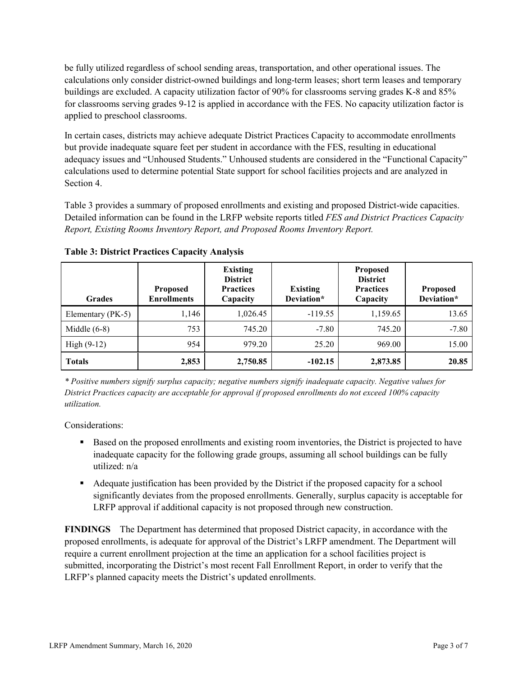be fully utilized regardless of school sending areas, transportation, and other operational issues. The calculations only consider district-owned buildings and long-term leases; short term leases and temporary buildings are excluded. A capacity utilization factor of 90% for classrooms serving grades K-8 and 85% for classrooms serving grades 9-12 is applied in accordance with the FES. No capacity utilization factor is applied to preschool classrooms.

In certain cases, districts may achieve adequate District Practices Capacity to accommodate enrollments but provide inadequate square feet per student in accordance with the FES, resulting in educational adequacy issues and "Unhoused Students." Unhoused students are considered in the "Functional Capacity" calculations used to determine potential State support for school facilities projects and are analyzed in Section 4.

Table 3 provides a summary of proposed enrollments and existing and proposed District-wide capacities. Detailed information can be found in the LRFP website reports titled *FES and District Practices Capacity Report, Existing Rooms Inventory Report, and Proposed Rooms Inventory Report.*

| <b>Grades</b>     | <b>Proposed</b><br><b>Enrollments</b> | <b>Existing</b><br><b>District</b><br><b>Practices</b><br>Capacity | <b>Existing</b><br>Deviation* | <b>Proposed</b><br><b>District</b><br><b>Practices</b><br>Capacity | <b>Proposed</b><br>Deviation* |
|-------------------|---------------------------------------|--------------------------------------------------------------------|-------------------------------|--------------------------------------------------------------------|-------------------------------|
| Elementary (PK-5) | 1,146                                 | 1,026.45                                                           | $-119.55$                     | 1,159.65                                                           | 13.65                         |
| Middle $(6-8)$    | 753                                   | 745.20                                                             | $-7.80$                       | 745.20                                                             | $-7.80$                       |
| High $(9-12)$     | 954                                   | 979.20                                                             | 25.20                         | 969.00                                                             | 15.00                         |
| <b>Totals</b>     | 2,853                                 | 2,750.85                                                           | $-102.15$                     | 2,873.85                                                           | 20.85                         |

**Table 3: District Practices Capacity Analysis**

*\* Positive numbers signify surplus capacity; negative numbers signify inadequate capacity. Negative values for District Practices capacity are acceptable for approval if proposed enrollments do not exceed 100% capacity utilization.*

Considerations:

- **Based on the proposed enrollments and existing room inventories, the District is projected to have** inadequate capacity for the following grade groups, assuming all school buildings can be fully utilized: n/a
- Adequate justification has been provided by the District if the proposed capacity for a school significantly deviates from the proposed enrollments. Generally, surplus capacity is acceptable for LRFP approval if additional capacity is not proposed through new construction.

**FINDINGS**The Department has determined that proposed District capacity, in accordance with the proposed enrollments, is adequate for approval of the District's LRFP amendment. The Department will require a current enrollment projection at the time an application for a school facilities project is submitted, incorporating the District's most recent Fall Enrollment Report, in order to verify that the LRFP's planned capacity meets the District's updated enrollments.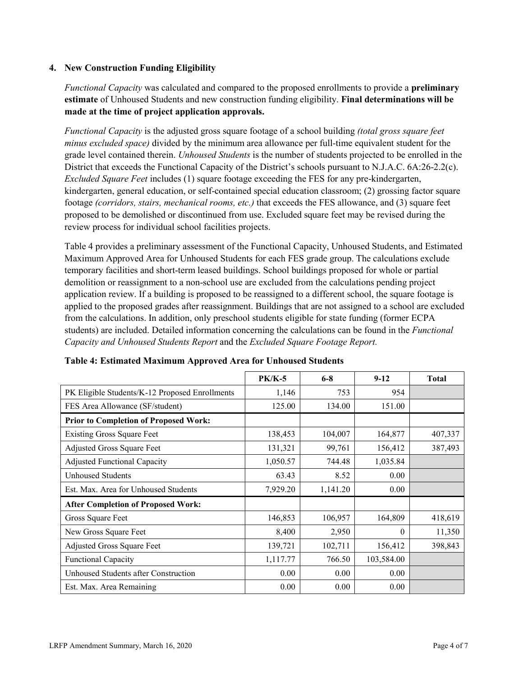### **4. New Construction Funding Eligibility**

*Functional Capacity* was calculated and compared to the proposed enrollments to provide a **preliminary estimate** of Unhoused Students and new construction funding eligibility. **Final determinations will be made at the time of project application approvals.**

*Functional Capacity* is the adjusted gross square footage of a school building *(total gross square feet minus excluded space)* divided by the minimum area allowance per full-time equivalent student for the grade level contained therein. *Unhoused Students* is the number of students projected to be enrolled in the District that exceeds the Functional Capacity of the District's schools pursuant to N.J.A.C. 6A:26-2.2(c). *Excluded Square Feet* includes (1) square footage exceeding the FES for any pre-kindergarten, kindergarten, general education, or self-contained special education classroom; (2) grossing factor square footage *(corridors, stairs, mechanical rooms, etc.)* that exceeds the FES allowance, and (3) square feet proposed to be demolished or discontinued from use. Excluded square feet may be revised during the review process for individual school facilities projects.

Table 4 provides a preliminary assessment of the Functional Capacity, Unhoused Students, and Estimated Maximum Approved Area for Unhoused Students for each FES grade group. The calculations exclude temporary facilities and short-term leased buildings. School buildings proposed for whole or partial demolition or reassignment to a non-school use are excluded from the calculations pending project application review. If a building is proposed to be reassigned to a different school, the square footage is applied to the proposed grades after reassignment. Buildings that are not assigned to a school are excluded from the calculations. In addition, only preschool students eligible for state funding (former ECPA students) are included. Detailed information concerning the calculations can be found in the *Functional Capacity and Unhoused Students Report* and the *Excluded Square Footage Report.*

|                                                | $PK/K-5$ | $6 - 8$  | $9 - 12$   | <b>Total</b> |
|------------------------------------------------|----------|----------|------------|--------------|
| PK Eligible Students/K-12 Proposed Enrollments | 1,146    | 753      | 954        |              |
| FES Area Allowance (SF/student)                | 125.00   | 134.00   | 151.00     |              |
| <b>Prior to Completion of Proposed Work:</b>   |          |          |            |              |
| <b>Existing Gross Square Feet</b>              | 138,453  | 104,007  | 164,877    | 407,337      |
| Adjusted Gross Square Feet                     | 131,321  | 99,761   | 156,412    | 387,493      |
| <b>Adjusted Functional Capacity</b>            | 1,050.57 | 744.48   | 1,035.84   |              |
| Unhoused Students                              | 63.43    | 8.52     | 0.00       |              |
| Est. Max. Area for Unhoused Students           | 7,929.20 | 1,141.20 | 0.00       |              |
| <b>After Completion of Proposed Work:</b>      |          |          |            |              |
| Gross Square Feet                              | 146,853  | 106,957  | 164,809    | 418,619      |
| New Gross Square Feet                          | 8,400    | 2,950    | $\theta$   | 11,350       |
| Adjusted Gross Square Feet                     | 139,721  | 102,711  | 156,412    | 398,843      |
| Functional Capacity                            | 1,117.77 | 766.50   | 103,584.00 |              |
| Unhoused Students after Construction           | 0.00     | 0.00     | 0.00       |              |
| Est. Max. Area Remaining                       | 0.00     | 0.00     | 0.00       |              |

**Table 4: Estimated Maximum Approved Area for Unhoused Students**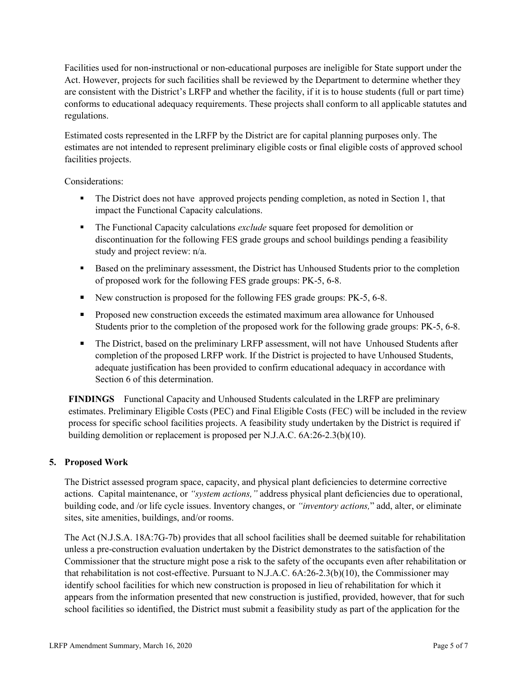Facilities used for non-instructional or non-educational purposes are ineligible for State support under the Act. However, projects for such facilities shall be reviewed by the Department to determine whether they are consistent with the District's LRFP and whether the facility, if it is to house students (full or part time) conforms to educational adequacy requirements. These projects shall conform to all applicable statutes and regulations.

Estimated costs represented in the LRFP by the District are for capital planning purposes only. The estimates are not intended to represent preliminary eligible costs or final eligible costs of approved school facilities projects.

Considerations:

- The District does not have approved projects pending completion, as noted in Section 1, that impact the Functional Capacity calculations.
- The Functional Capacity calculations *exclude* square feet proposed for demolition or discontinuation for the following FES grade groups and school buildings pending a feasibility study and project review: n/a.
- Based on the preliminary assessment, the District has Unhoused Students prior to the completion of proposed work for the following FES grade groups: PK-5, 6-8.
- New construction is proposed for the following FES grade groups: PK-5, 6-8.
- **Proposed new construction exceeds the estimated maximum area allowance for Unhoused** Students prior to the completion of the proposed work for the following grade groups: PK-5, 6-8.
- The District, based on the preliminary LRFP assessment, will not have Unhoused Students after completion of the proposed LRFP work. If the District is projected to have Unhoused Students, adequate justification has been provided to confirm educational adequacy in accordance with Section 6 of this determination.

**FINDINGS** Functional Capacity and Unhoused Students calculated in the LRFP are preliminary estimates. Preliminary Eligible Costs (PEC) and Final Eligible Costs (FEC) will be included in the review process for specific school facilities projects. A feasibility study undertaken by the District is required if building demolition or replacement is proposed per N.J.A.C. 6A:26-2.3(b)(10).

# **5. Proposed Work**

The District assessed program space, capacity, and physical plant deficiencies to determine corrective actions. Capital maintenance, or *"system actions,"* address physical plant deficiencies due to operational, building code, and /or life cycle issues. Inventory changes, or *"inventory actions,*" add, alter, or eliminate sites, site amenities, buildings, and/or rooms.

The Act (N.J.S.A. 18A:7G-7b) provides that all school facilities shall be deemed suitable for rehabilitation unless a pre-construction evaluation undertaken by the District demonstrates to the satisfaction of the Commissioner that the structure might pose a risk to the safety of the occupants even after rehabilitation or that rehabilitation is not cost-effective. Pursuant to N.J.A.C. 6A:26-2.3(b)(10), the Commissioner may identify school facilities for which new construction is proposed in lieu of rehabilitation for which it appears from the information presented that new construction is justified, provided, however, that for such school facilities so identified, the District must submit a feasibility study as part of the application for the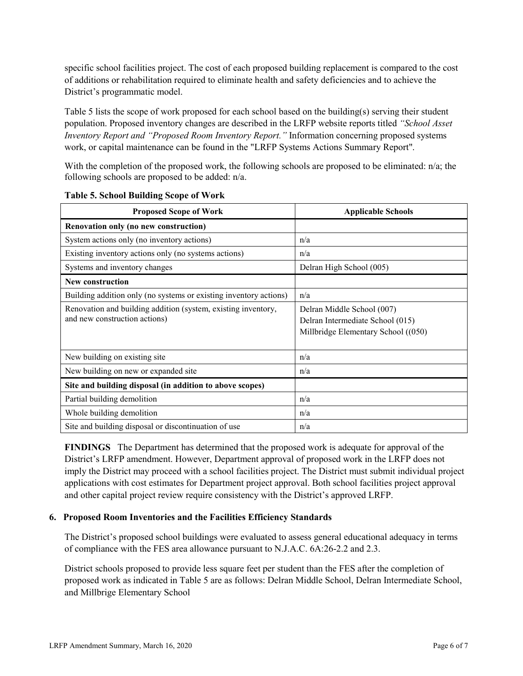specific school facilities project. The cost of each proposed building replacement is compared to the cost of additions or rehabilitation required to eliminate health and safety deficiencies and to achieve the District's programmatic model.

Table 5 lists the scope of work proposed for each school based on the building(s) serving their student population. Proposed inventory changes are described in the LRFP website reports titled *"School Asset Inventory Report and "Proposed Room Inventory Report."* Information concerning proposed systems work, or capital maintenance can be found in the "LRFP Systems Actions Summary Report".

With the completion of the proposed work, the following schools are proposed to be eliminated: n/a; the following schools are proposed to be added: n/a.

| <b>Proposed Scope of Work</b>                                                                  | <b>Applicable Schools</b>                                                                             |
|------------------------------------------------------------------------------------------------|-------------------------------------------------------------------------------------------------------|
| Renovation only (no new construction)                                                          |                                                                                                       |
| System actions only (no inventory actions)                                                     | n/a                                                                                                   |
| Existing inventory actions only (no systems actions)                                           | n/a                                                                                                   |
| Systems and inventory changes                                                                  | Delran High School (005)                                                                              |
| <b>New construction</b>                                                                        |                                                                                                       |
| Building addition only (no systems or existing inventory actions)                              | n/a                                                                                                   |
| Renovation and building addition (system, existing inventory,<br>and new construction actions) | Delran Middle School (007)<br>Delran Intermediate School (015)<br>Millbridge Elementary School ((050) |
| New building on existing site                                                                  | n/a                                                                                                   |
| New building on new or expanded site                                                           | n/a                                                                                                   |
| Site and building disposal (in addition to above scopes)                                       |                                                                                                       |
| Partial building demolition                                                                    | n/a                                                                                                   |
| Whole building demolition                                                                      | n/a                                                                                                   |
| Site and building disposal or discontinuation of use                                           | n/a                                                                                                   |

|  |  |  | <b>Table 5. School Building Scope of Work</b> |  |  |  |
|--|--|--|-----------------------------------------------|--|--|--|
|--|--|--|-----------------------------------------------|--|--|--|

**FINDINGS** The Department has determined that the proposed work is adequate for approval of the District's LRFP amendment. However, Department approval of proposed work in the LRFP does not imply the District may proceed with a school facilities project. The District must submit individual project applications with cost estimates for Department project approval. Both school facilities project approval and other capital project review require consistency with the District's approved LRFP.

#### **6. Proposed Room Inventories and the Facilities Efficiency Standards**

The District's proposed school buildings were evaluated to assess general educational adequacy in terms of compliance with the FES area allowance pursuant to N.J.A.C. 6A:26-2.2 and 2.3.

District schools proposed to provide less square feet per student than the FES after the completion of proposed work as indicated in Table 5 are as follows: Delran Middle School, Delran Intermediate School, and Millbrige Elementary School